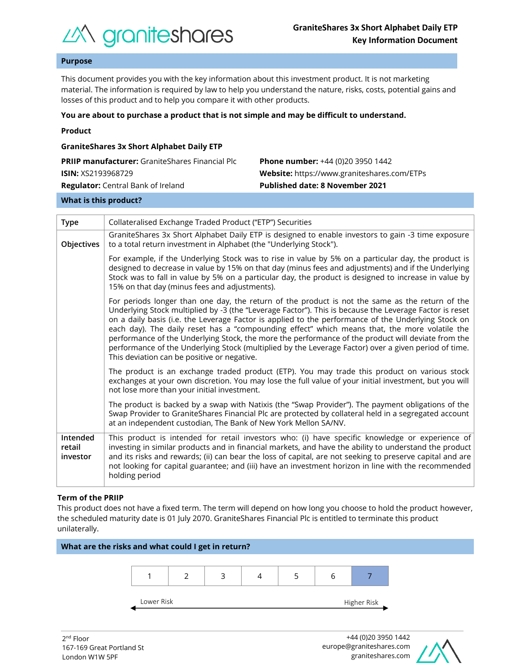

# **Purpose**

This document provides you with the key information about this investment product. It is not marketing material. The information is required by law to help you understand the nature, risks, costs, potential gains and losses of this product and to help you compare it with other products.

#### **You are about to purchase a product that is not simple and may be difficult to understand.**

|  | Product |  |
|--|---------|--|
|  |         |  |

| <b>GraniteShares 3x Short Alphabet Daily ETP</b>       |                                             |  |  |  |  |
|--------------------------------------------------------|---------------------------------------------|--|--|--|--|
| <b>PRIIP manufacturer:</b> GraniteShares Financial Plc | <b>Phone number:</b> +44 (0)20 3950 1442    |  |  |  |  |
| <b>ISIN:</b> XS2193968729                              | Website: https://www.graniteshares.com/ETPs |  |  |  |  |
| <b>Regulator:</b> Central Bank of Ireland              | <b>Published date: 8 November 2021</b>      |  |  |  |  |
|                                                        |                                             |  |  |  |  |

#### **What is this product?**

| <b>Type</b>                    | Collateralised Exchange Traded Product ("ETP") Securities                                                                                                                                                                                                                                                                                                                                                                                                                                                                                                                                                                                                                       |  |  |  |  |
|--------------------------------|---------------------------------------------------------------------------------------------------------------------------------------------------------------------------------------------------------------------------------------------------------------------------------------------------------------------------------------------------------------------------------------------------------------------------------------------------------------------------------------------------------------------------------------------------------------------------------------------------------------------------------------------------------------------------------|--|--|--|--|
| Objectives                     | GraniteShares 3x Short Alphabet Daily ETP is designed to enable investors to gain -3 time exposure<br>to a total return investment in Alphabet (the "Underlying Stock").                                                                                                                                                                                                                                                                                                                                                                                                                                                                                                        |  |  |  |  |
|                                | For example, if the Underlying Stock was to rise in value by 5% on a particular day, the product is<br>designed to decrease in value by 15% on that day (minus fees and adjustments) and if the Underlying<br>Stock was to fall in value by 5% on a particular day, the product is designed to increase in value by<br>15% on that day (minus fees and adjustments).                                                                                                                                                                                                                                                                                                            |  |  |  |  |
|                                | For periods longer than one day, the return of the product is not the same as the return of the<br>Underlying Stock multiplied by -3 (the "Leverage Factor"). This is because the Leverage Factor is reset<br>on a daily basis (i.e. the Leverage Factor is applied to the performance of the Underlying Stock on<br>each day). The daily reset has a "compounding effect" which means that, the more volatile the<br>performance of the Underlying Stock, the more the performance of the product will deviate from the<br>performance of the Underlying Stock (multiplied by the Leverage Factor) over a given period of time.<br>This deviation can be positive or negative. |  |  |  |  |
|                                | The product is an exchange traded product (ETP). You may trade this product on various stock<br>exchanges at your own discretion. You may lose the full value of your initial investment, but you will<br>not lose more than your initial investment.                                                                                                                                                                                                                                                                                                                                                                                                                           |  |  |  |  |
|                                | The product is backed by a swap with Natixis (the "Swap Provider"). The payment obligations of the<br>Swap Provider to GraniteShares Financial Plc are protected by collateral held in a segregated account<br>at an independent custodian, The Bank of New York Mellon SA/NV.                                                                                                                                                                                                                                                                                                                                                                                                  |  |  |  |  |
| Intended<br>retail<br>investor | This product is intended for retail investors who: (i) have specific knowledge or experience of<br>investing in similar products and in financial markets, and have the ability to understand the product<br>and its risks and rewards; (ii) can bear the loss of capital, are not seeking to preserve capital and are<br>not looking for capital guarantee; and (iii) have an investment horizon in line with the recommended<br>holding period                                                                                                                                                                                                                                |  |  |  |  |

## **Term of the PRIIP**

This product does not have a fixed term. The term will depend on how long you choose to hold the product however, the scheduled maturity date is 01 July 2070. GraniteShares Financial Plc is entitled to terminate this product unilaterally.



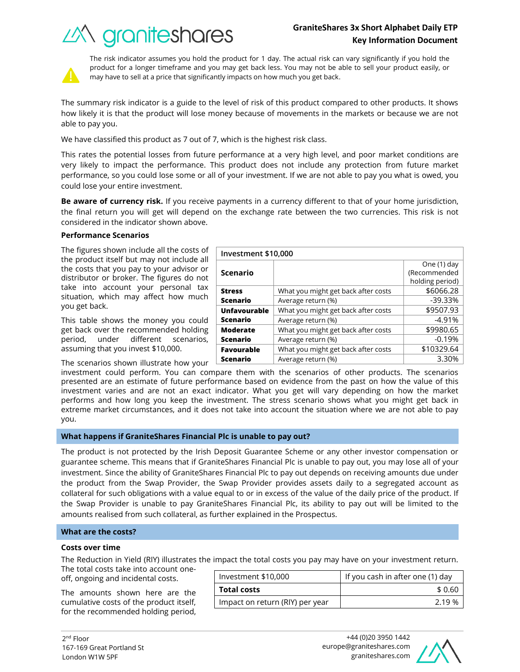# **GraniteShares 3x Short Alphabet Daily ETP Key Information Document**

What you might get back after costs  $\sim$  \$6066.28 Average return (%) and the set of the set of the set of the set of the set of the set of the set of the set of the set of the set of the set of the set of the set of the set of the set of the set of the set of the set of t

What you might get back after costs | \$9507.93 Average return  $(\%)$   $\qquad \qquad$   $\qquad \qquad$  -4.91%

What you might get back after costs | \$9980.65 Average return (%) and the control of the control of  $-0.19\%$ 





The risk indicator assumes you hold the product for 1 day. The actual risk can vary significantly if you hold the product for a longer timeframe and you may get back less. You may not be able to sell your product easily, or may have to sell at a price that significantly impacts on how much you get back.

The summary risk indicator is a guide to the level of risk of this product compared to other products. It shows how likely it is that the product will lose money because of movements in the markets or because we are not able to pay you.

We have classified this product as 7 out of 7, which is the highest risk class.

This rates the potential losses from future performance at a very high level, and poor market conditions are very likely to impact the performance. This product does not include any protection from future market performance, so you could lose some or all of your investment. If we are not able to pay you what is owed, you could lose your entire investment.

**Be aware of currency risk.** If you receive payments in a currency different to that of your home jurisdiction, the final return you will get will depend on the exchange rate between the two currencies. This risk is not considered in the indicator shown above.

**Investment \$10,000**

**Scenario**

**Unfavourable Scenario**

**Moderate Scenario**

**Stress Scenario**

## **Performance Scenarios**

The figures shown include all the costs of the product itself but may not include all the costs that you pay to your advisor or distributor or broker. The figures do not take into account your personal tax situation, which may affect how much you get back.

This table shows the money you could get back over the recommended holding period, under different scenarios, assuming that you invest \$10,000.

The scenarios shown illustrate how your

investment could perform. You can compare them with the scenarios of other products. The scenarios presented are an estimate of future performance based on evidence from the past on how the value of this investment varies and are not an exact indicator. What you get will vary depending on how the market performs and how long you keep the investment. The stress scenario shows what you might get back in extreme market circumstances, and it does not take into account the situation where we are not able to pay you. **Favourable Scenario** What you might get back after costs | \$10329.64 Average return (%) and the set of the set of the set of the set of the set of the set of the set of the set of the set of the set of the set of the set of the set of the set of the set of the set of the set of the set of t

## **What happens if GraniteShares Financial Plc is unable to pay out?**

The product is not protected by the Irish Deposit Guarantee Scheme or any other investor compensation or guarantee scheme. This means that if GraniteShares Financial Plc is unable to pay out, you may lose all of your investment. Since the ability of GraniteShares Financial Plc to pay out depends on receiving amounts due under the product from the Swap Provider, the Swap Provider provides assets daily to a segregated account as collateral for such obligations with a value equal to or in excess of the value of the daily price of the product. If the Swap Provider is unable to pay GraniteShares Financial Plc, its ability to pay out will be limited to the amounts realised from such collateral, as further explained in the Prospectus.

## **What are the costs?**

#### **Costs over time**

The Reduction in Yield (RIY) illustrates the impact the total costs you pay may have on your investment return.

The total costs take into account oneoff, ongoing and incidental costs.

The amounts shown here are the cumulative costs of the product itself, for the recommended holding period,

| Investment \$10,000             | If you cash in after one (1) day |  |
|---------------------------------|----------------------------------|--|
| <b>Total costs</b>              | \$ 0.60                          |  |
| Impact on return (RIY) per year | 2 19 %                           |  |



One (1) day (Recommended holding period)